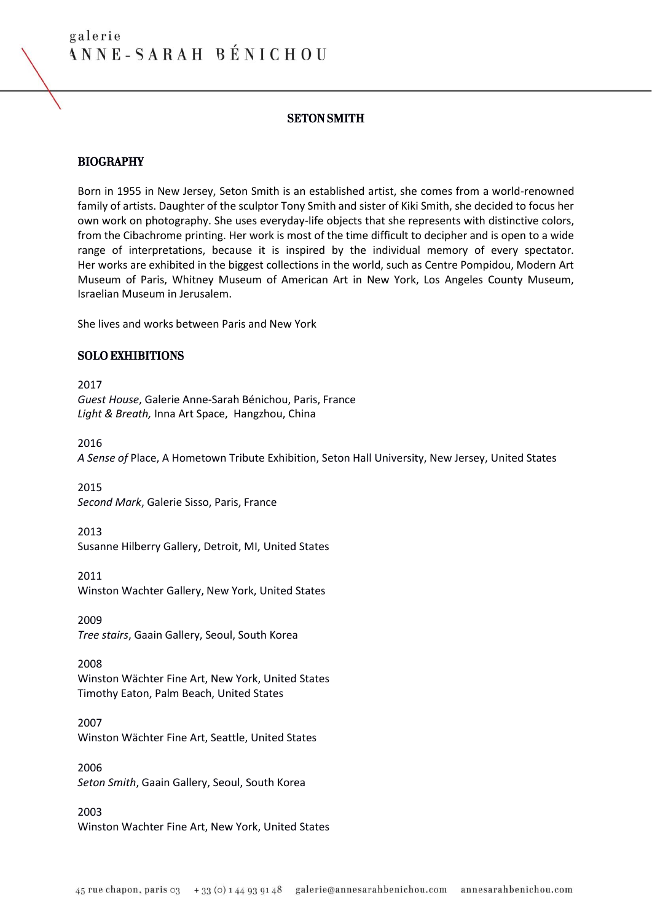## SETON SMITH

## BIOGRAPHY

Born in 1955 in New Jersey, Seton Smith is an established artist, she comes from a world-renowned family of artists. Daughter of the sculptor Tony Smith and sister of Kiki Smith, she decided to focus her own work on photography. She uses everyday-life objects that she represents with distinctive colors, from the Cibachrome printing. Her work is most of the time difficult to decipher and is open to a wide range of interpretations, because it is inspired by the individual memory of every spectator. Her works are exhibited in the biggest collections in the world, such as Centre Pompidou, Modern Art Museum of Paris, Whitney Museum of American Art in New York, Los Angeles County Museum, Israelian Museum in Jerusalem.

She lives and works between Paris and New York

### SOLO EXHIBITIONS

2017 *Guest House*, Galerie Anne-Sarah Bénichou, Paris, France *Light & Breath,* Inna Art Space, Hangzhou, China

2016 *A Sense of* Place, A Hometown Tribute Exhibition, Seton Hall University, New Jersey, United States

2015 *Second Mark*, Galerie Sisso, Paris, France

2013 Susanne Hilberry Gallery, Detroit, MI, United States

2011 Winston Wachter Gallery, New York, United States

2009 *Tree stairs*, Gaain Gallery, Seoul, South Korea

2008 Winston Wächter Fine Art, New York, United States Timothy Eaton, Palm Beach, United States

2007 Winston Wächter Fine Art, Seattle, United States

2006 *Seton Smith*, Gaain Gallery, Seoul, South Korea

2003 Winston Wachter Fine Art, New York, United States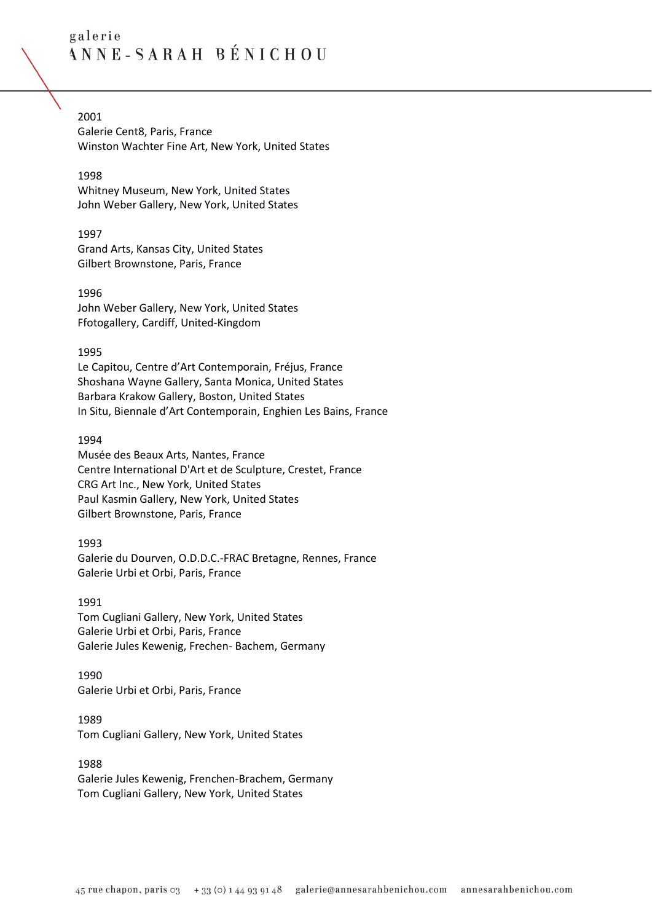# 2001

Galerie Cent8, Paris, France Winston Wachter Fine Art, New York, United States

## 1998

Whitney Museum, New York, United States John Weber Gallery, New York, United States

## 1997

Grand Arts, Kansas City, United States Gilbert Brownstone, Paris, France

## 1996 John Weber Gallery, New York, United States Ffotogallery, Cardiff, United-Kingdom

## 1995

Le Capitou, Centre d'Art Contemporain, Fréjus, France Shoshana Wayne Gallery, Santa Monica, United States Barbara Krakow Gallery, Boston, United States In Situ, Biennale d'Art Contemporain, Enghien Les Bains, France

## 1994

Musée des Beaux Arts, Nantes, France Centre International D'Art et de Sculpture, Crestet, France CRG Art Inc., New York, United States Paul Kasmin Gallery, New York, United States Gilbert Brownstone, Paris, France

1993 Galerie du Dourven, O.D.D.C.-FRAC Bretagne, Rennes, France Galerie Urbi et Orbi, Paris, France

# 1991

Tom Cugliani Gallery, New York, United States Galerie Urbi et Orbi, Paris, France Galerie Jules Kewenig, Frechen- Bachem, Germany

# 1990 Galerie Urbi et Orbi, Paris, France

1989 Tom Cugliani Gallery, New York, United States

## 1988 Galerie Jules Kewenig, Frenchen-Brachem, Germany Tom Cugliani Gallery, New York, United States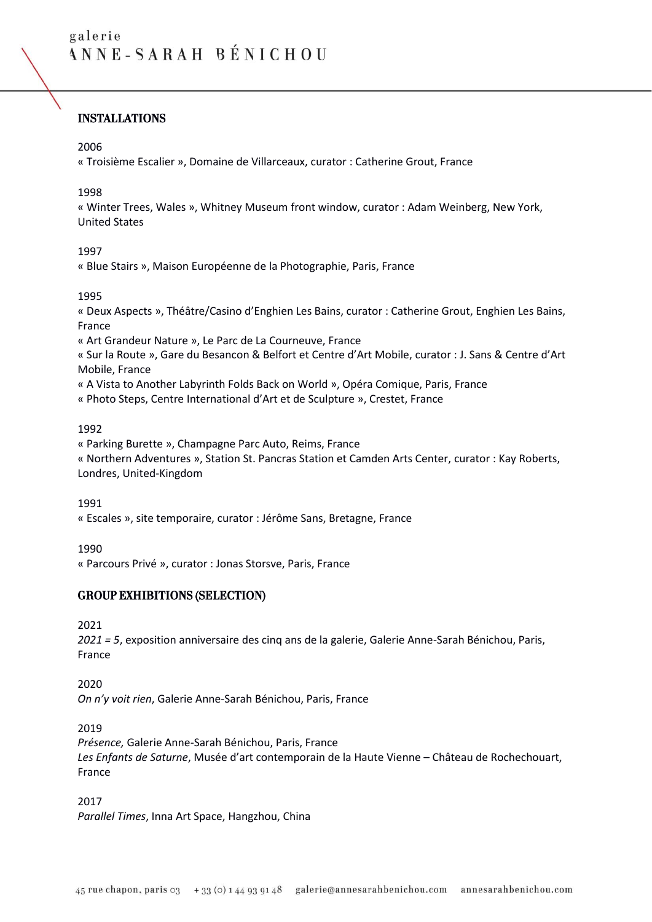# INSTALLATIONS

#### 2006

« Troisième Escalier », Domaine de Villarceaux, curator : Catherine Grout, France

### 1998

« Winter Trees, Wales », Whitney Museum front window, curator : Adam Weinberg, New York, United States

## 1997

« Blue Stairs », Maison Européenne de la Photographie, Paris, France

## 1995

« Deux Aspects », Théâtre/Casino d'Enghien Les Bains, curator : Catherine Grout, Enghien Les Bains, France

« Art Grandeur Nature », Le Parc de La Courneuve, France

« Sur la Route », Gare du Besancon & Belfort et Centre d'Art Mobile, curator : J. Sans & Centre d'Art Mobile, France

« A Vista to Another Labyrinth Folds Back on World », Opéra Comique, Paris, France

« Photo Steps, Centre International d'Art et de Sculpture », Crestet, France

### 1992

« Parking Burette », Champagne Parc Auto, Reims, France

« Northern Adventures », Station St. Pancras Station et Camden Arts Center, curator : Kay Roberts, Londres, United-Kingdom

### 1991

« Escales », site temporaire, curator : Jérôme Sans, Bretagne, France

### 1990

« Parcours Privé », curator : Jonas Storsve, Paris, France

## GROUP EXHIBITIONS (SELECTION)

2021

*2021 = 5*, exposition anniversaire des cinq ans de la galerie, Galerie Anne-Sarah Bénichou, Paris, France

### 2020

*On n'y voit rien*, Galerie Anne-Sarah Bénichou, Paris, France

### 2019

*Présence,* Galerie Anne-Sarah Bénichou, Paris, France *Les Enfants de Saturne*, Musée d'art contemporain de la Haute Vienne – Château de Rochechouart, France

### 2017

*Parallel Times*, Inna Art Space, Hangzhou, China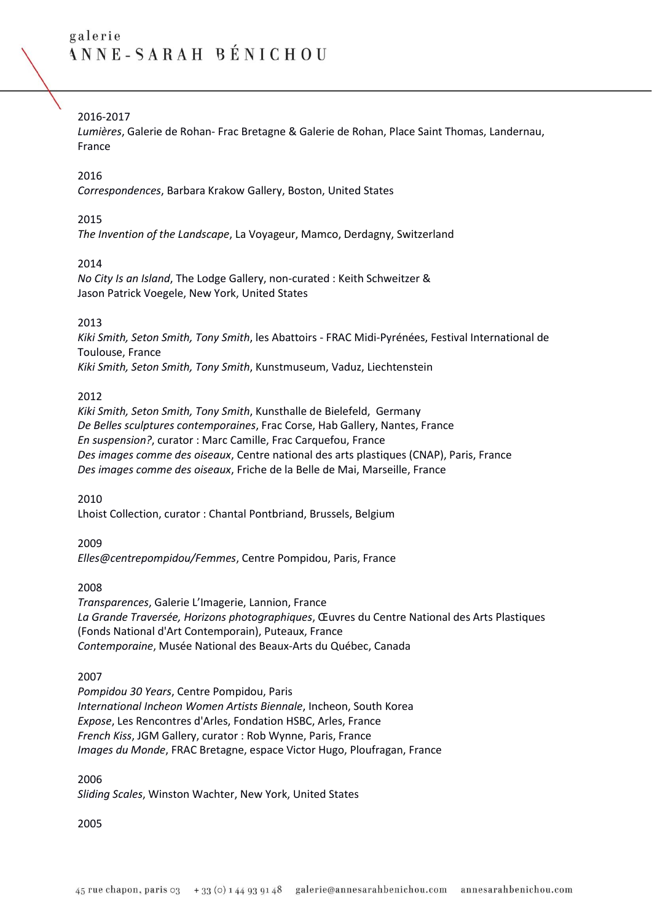# 2016-2017

*Lumières*, Galerie de Rohan- Frac Bretagne & Galerie de Rohan, Place Saint Thomas, Landernau, France

### 2016

*Correspondences*, Barbara Krakow Gallery, Boston, United States

### 2015

*The Invention of the Landscape*, La Voyageur, Mamco, Derdagny, Switzerland

### 2014

*No City Is an Island*, The Lodge Gallery, non-curated : Keith Schweitzer & Jason Patrick Voegele, New York, United States

### 2013

*Kiki Smith, Seton Smith, Tony Smith*, les Abattoirs - FRAC Midi-Pyrénées, Festival International de Toulouse, France *Kiki Smith, Seton Smith, Tony Smith*, Kunstmuseum, Vaduz, Liechtenstein

### 2012

*Kiki Smith, Seton Smith, Tony Smith*, Kunsthalle de Bielefeld, Germany *De Belles sculptures contemporaines*, Frac Corse, Hab Gallery, Nantes, France *En suspension?*, curator : Marc Camille, Frac Carquefou, France *Des images comme des oiseaux*, Centre national des arts plastiques (CNAP), Paris, France *Des images comme des oiseaux*, Friche de la Belle de Mai, Marseille, France

### 2010

Lhoist Collection, curator : Chantal Pontbriand, Brussels, Belgium

#### 2009

*Elles@centrepompidou/Femmes*, Centre Pompidou, Paris, France

### 2008

*Transparences*, Galerie L'Imagerie, Lannion, France *La Grande Traversée, Horizons photographiques*, Œuvres du Centre National des Arts Plastiques (Fonds National d'Art Contemporain), Puteaux, France *Contemporaine*, Musée National des Beaux-Arts du Québec, Canada

### 2007

*Pompidou 30 Years*, Centre Pompidou, Paris *International Incheon Women Artists Biennale*, Incheon, South Korea *Expose*, Les Rencontres d'Arles, Fondation HSBC, Arles, France *French Kiss*, JGM Gallery, curator : Rob Wynne, Paris, France *Images du Monde*, FRAC Bretagne, espace Victor Hugo, Ploufragan, France

2006 *Sliding Scales*, Winston Wachter, New York, United States

2005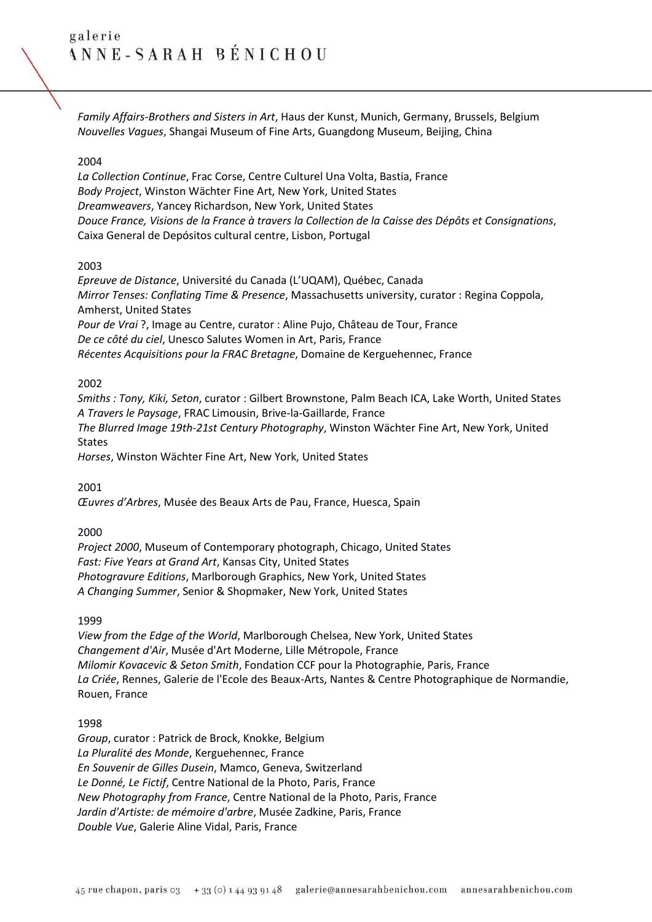*Family Affairs-Brothers and Sisters in Art*, Haus der Kunst, Munich, Germany, Brussels, Belgium *Nouvelles Vagues*, Shangai Museum of Fine Arts, Guangdong Museum, Beijing, China

### 2004

*La Collection Continue*, Frac Corse, Centre Culturel Una Volta, Bastia, France *Body Project*, Winston Wächter Fine Art, New York, United States *Dreamweavers*, Yancey Richardson, New York, United States *Douce France, Visions de la France à travers la Collection de la Caisse des Dépôts et Consignations*, Caixa General de Depósitos cultural centre, Lisbon, Portugal

#### 2003

*Epreuve de Distance*, Université du Canada (L'UQAM), Québec, Canada *Mirror Tenses: Conflating Time & Presence*, Massachusetts university, curator : Regina Coppola, Amherst, United States *Pour de Vrai* ?, Image au Centre, curator : Aline Pujo, Château de Tour, France *De ce côté du ciel*, Unesco Salutes Women in Art, Paris, France *Récentes Acquisitions pour la FRAC Bretagne*, Domaine de Kerguehennec, France

#### 2002

*Smiths : Tony, Kiki, Seton*, curator : Gilbert Brownstone, Palm Beach ICA, Lake Worth, United States *A Travers le Paysage*, FRAC Limousin, Brive-la-Gaillarde, France *The Blurred Image 19th-21st Century Photography*, Winston Wächter Fine Art, New York, United States

*Horses*, Winston Wächter Fine Art, New York, United States

2001

*Œuvres d'Arbres*, Musée des Beaux Arts de Pau, France, Huesca, Spain

#### 2000

*Project 2000*, Museum of Contemporary photograph, Chicago, United States *Fast: Five Years at Grand Art*, Kansas City, United States *Photogravure Editions*, Marlborough Graphics, New York, United States *A Changing Summer*, Senior & Shopmaker, New York, United States

#### 1999

*View from the Edge of the World*, Marlborough Chelsea, New York, United States *Changement d'Air*, Musée d'Art Moderne, Lille Métropole, France *Milomir Kovacevic & Seton Smith*, Fondation CCF pour la Photographie, Paris, France *La Criée*, Rennes, Galerie de l'Ecole des Beaux-Arts, Nantes & Centre Photographique de Normandie, Rouen, France

#### 1998

*Group*, curator : Patrick de Brock, Knokke, Belgium *La Pluralité des Monde*, Kerguehennec, France *En Souvenir de Gilles Dusein*, Mamco, Geneva, Switzerland *Le Donné, Le Fictif*, Centre National de la Photo, Paris, France *New Photography from France*, Centre National de la Photo, Paris, France *Jardin d'Artiste: de mémoire d'arbre*, Musée Zadkine, Paris, France *Double Vue*, Galerie Aline Vidal, Paris, France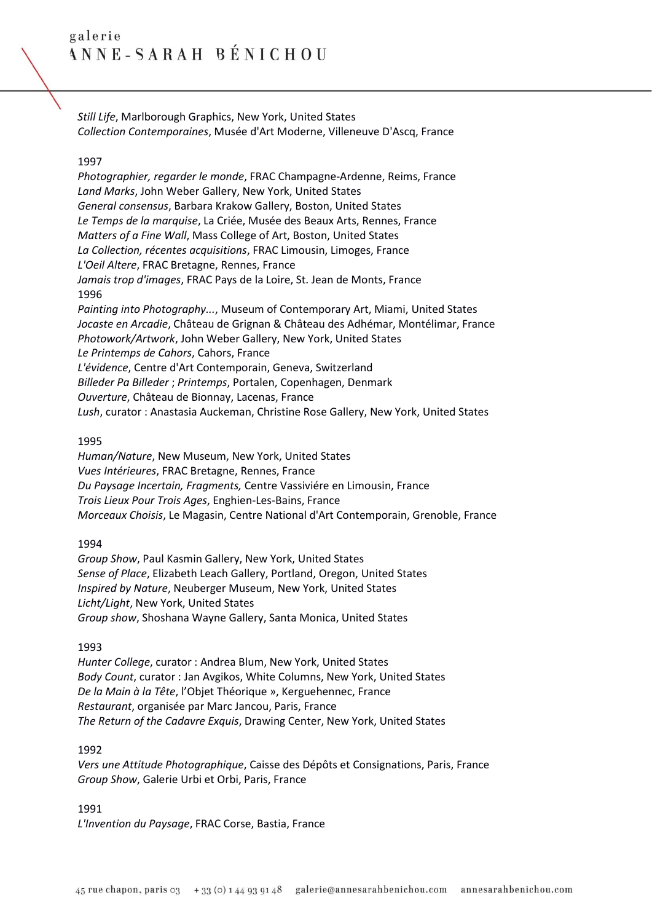*Still Life*, Marlborough Graphics, New York, United States *Collection Contemporaines*, Musée d'Art Moderne, Villeneuve D'Ascq, France

### 1997

*Photographier, regarder le monde*, FRAC Champagne-Ardenne, Reims, France *Land Marks*, John Weber Gallery, New York, United States *General consensus*, Barbara Krakow Gallery, Boston, United States *Le Temps de la marquise*, La Criée, Musée des Beaux Arts, Rennes, France *Matters of a Fine Wall*, Mass College of Art, Boston, United States *La Collection, récentes acquisitions*, FRAC Limousin, Limoges, France *L'Oeil Altere*, FRAC Bretagne, Rennes, France *Jamais trop d'images*, FRAC Pays de la Loire, St. Jean de Monts, France 1996 *Painting into Photography...*, Museum of Contemporary Art, Miami, United States *Jocaste en Arcadie*, Château de Grignan & Château des Adhémar, Montélimar, France *Photowork/Artwork*, John Weber Gallery, New York, United States *Le Printemps de Cahors*, Cahors, France *L'évidence*, Centre d'Art Contemporain, Geneva, Switzerland *Billeder Pa Billeder* ; *Printemps*, Portalen, Copenhagen, Denmark *Ouverture*, Château de Bionnay, Lacenas, France *Lush*, curator : Anastasia Auckeman, Christine Rose Gallery, New York, United States

#### 1995

*Human/Nature*, New Museum, New York, United States *Vues Intérieures*, FRAC Bretagne, Rennes, France *Du Paysage Incertain, Fragments,* Centre Vassiviére en Limousin, France *Trois Lieux Pour Trois Ages*, Enghien-Les-Bains, France *Morceaux Choisis*, Le Magasin, Centre National d'Art Contemporain, Grenoble, France

#### 1994

*Group Show*, Paul Kasmin Gallery, New York, United States *Sense of Place*, Elizabeth Leach Gallery, Portland, Oregon, United States *Inspired by Nature*, Neuberger Museum, New York, United States *Licht/Light*, New York, United States *Group show*, Shoshana Wayne Gallery, Santa Monica, United States

1993

*Hunter College*, curator : Andrea Blum, New York, United States *Body Count*, curator : Jan Avgikos, White Columns, New York, United States *De la Main à la Tête*, l'Objet Théorique », Kerguehennec, France *Restaurant*, organisée par Marc Jancou, Paris, France *The Return of the Cadavre Exquis*, Drawing Center, New York, United States

### 1992

*Vers une Attitude Photographique*, Caisse des Dépôts et Consignations, Paris, France *Group Show*, Galerie Urbi et Orbi, Paris, France

### 1991

*L'Invention du Paysage*, FRAC Corse, Bastia, France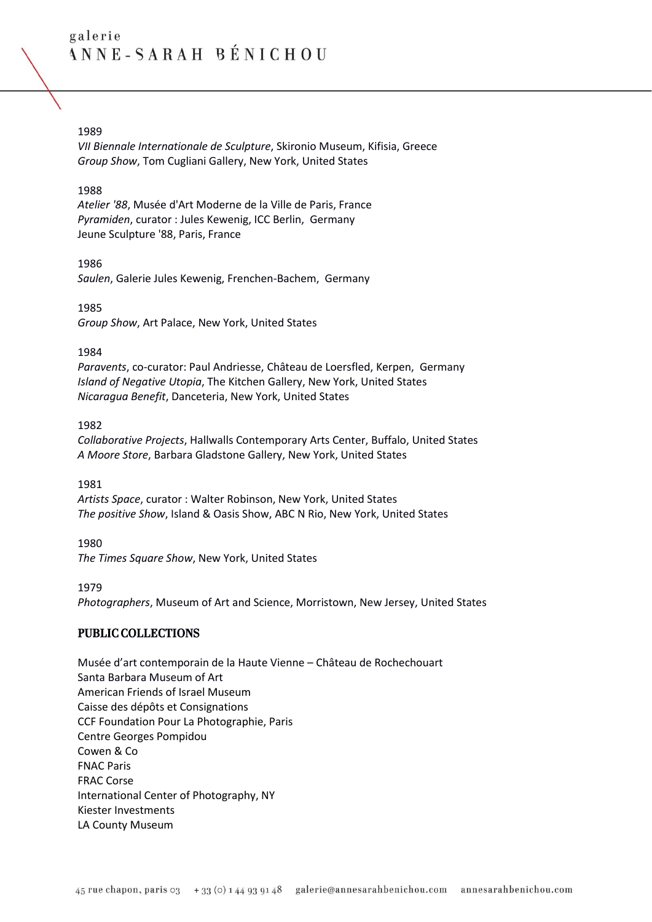### 1989

*VII Biennale Internationale de Sculpture*, Skironio Museum, Kifisia, Greece *Group Show*, Tom Cugliani Gallery, New York, United States

## 1988

*Atelier '88*, Musée d'Art Moderne de la Ville de Paris, France *Pyramiden*, curator : Jules Kewenig, ICC Berlin, Germany Jeune Sculpture '88, Paris, France

### 1986

*Saulen*, Galerie Jules Kewenig, Frenchen-Bachem, Germany

1985 *Group Show*, Art Palace, New York, United States

## 1984

*Paravents*, co-curator: Paul Andriesse, Château de Loersfled, Kerpen, Germany *Island of Negative Utopia*, The Kitchen Gallery, New York, United States *Nicaragua Benefit*, Danceteria, New York, United States

## 1982

*Collaborative Projects*, Hallwalls Contemporary Arts Center, Buffalo, United States *A Moore Store*, Barbara Gladstone Gallery, New York, United States

### 1981

*Artists Space*, curator : Walter Robinson, New York, United States *The positive Show*, Island & Oasis Show, ABC N Rio, New York, United States

### 1980

*The Times Square Show*, New York, United States

### 1979

*Photographers*, Museum of Art and Science, Morristown, New Jersey, United States

## PUBLIC COLLECTIONS

Musée d'art contemporain de la Haute Vienne – Château de Rochechouart Santa Barbara Museum of Art American Friends of Israel Museum Caisse des dépôts et Consignations CCF Foundation Pour La Photographie, Paris Centre Georges Pompidou Cowen & Co FNAC Paris [FRAC Corse](http://www.setonsmith.com/images/stories/Collections/001.jpg) International Center of Photography, NY Kiester Investments LA County Museum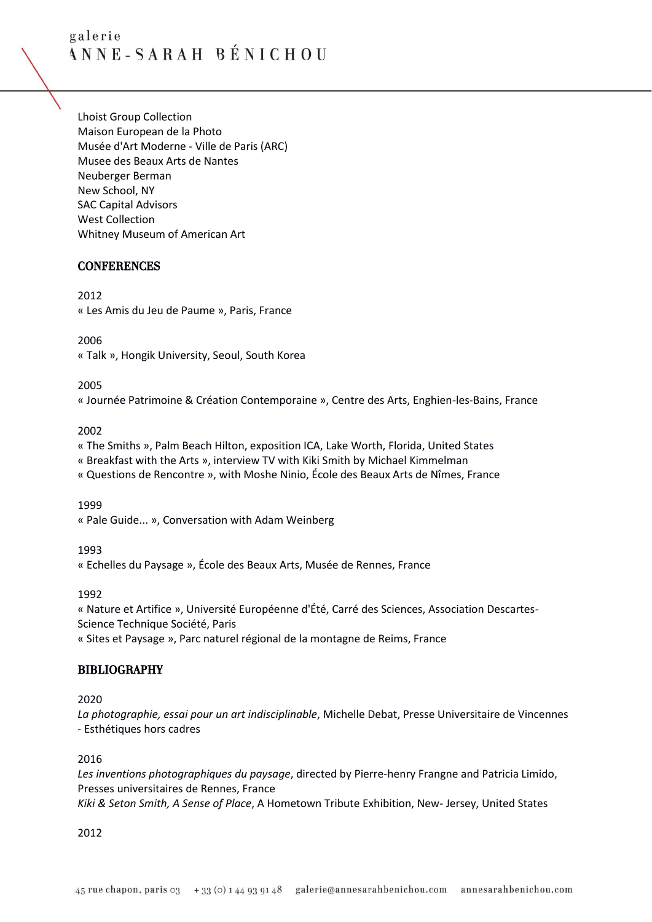[Lhoist Group Collection](http://www.setonsmith.com/images/stories/Collections/003_BlueBranches1990Ci.jpg) Maison European de la Photo Musée d'Art Moderne - Ville de Paris (ARC) Musee des Beaux Arts de Nantes Neuberger Berman New School, NY SAC Capital Advisors West Collection Whitney Museum of American Art

## **CONFERENCES**

2012 « Les Amis du Jeu de Paume », Paris, France

### 2006

« Talk », Hongik University, Seoul, South Korea

## 2005

« Journée Patrimoine & Création Contemporaine », Centre des Arts, Enghien-les-Bains, France

## 2002

« The Smiths », Palm Beach Hilton, exposition ICA, Lake Worth, Florida, United States

« Breakfast with the Arts », interview TV with Kiki Smith by Michael Kimmelman

« Questions de Rencontre », with Moshe Ninio, École des Beaux Arts de Nîmes, France

1999

« Pale Guide... », Conversation with Adam Weinberg

1993

« Echelles du Paysage », École des Beaux Arts, Musée de Rennes, France

1992

« Nature et Artifice », Université Européenne d'Été, Carré des Sciences, Association Descartes-Science Technique Société, Paris

« Sites et Paysage », Parc naturel régional de la montagne de Reims, France

## BIBLIOGRAPHY

2020

*La photographie, essai pour un art indisciplinable*, Michelle Debat, Presse Universitaire de Vincennes - Esthétiques hors cadres

### 2016

*Les inventions photographiques du paysage*, directed by Pierre-henry Frangne and Patricia Limido, Presses universitaires de Rennes, France *Kiki & Seton Smith, A Sense of Place*, A Hometown Tribute Exhibition, New- Jersey, United States

### 2012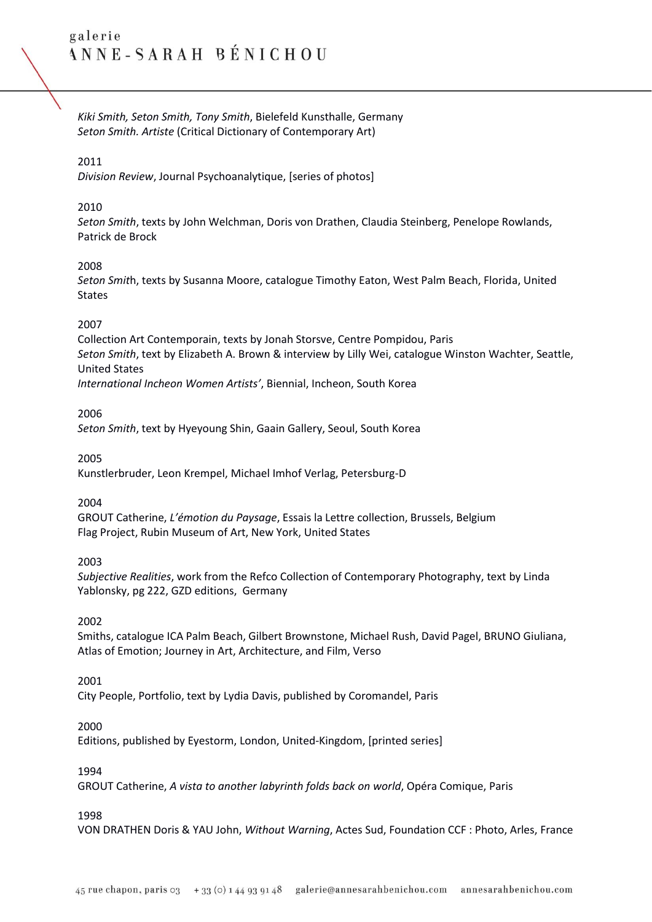*Kiki Smith, Seton Smith, Tony Smith*, Bielefeld Kunsthalle, Germany *Seton Smith. Artiste* (Critical Dictionary of Contemporary Art)

### 2011

*Division Review*, Journal Psychoanalytique, [series of photos]

#### 2010

*Seton Smith*, texts by John Welchman, Doris von Drathen, Claudia Steinberg, Penelope Rowlands, Patrick de Brock

#### 2008

*Seton Smit*h, texts by Susanna Moore, catalogue Timothy Eaton, West Palm Beach, Florida, United States

#### 2007

Collection Art Contemporain, texts by Jonah Storsve, Centre Pompidou, Paris *Seton Smith*, text by Elizabeth A. Brown & interview by Lilly Wei, catalogue Winston Wachter, Seattle, United States

*International Incheon Women Artists'*, Biennial, Incheon, South Korea

#### 2006

*Seton Smith*, text by Hyeyoung Shin, Gaain Gallery, Seoul, South Korea

2005

Kunstlerbruder, Leon Krempel, Michael Imhof Verlag, Petersburg-D

2004

GROUT Catherine, *L'émotion du Paysage*, Essais la Lettre collection, Brussels, Belgium Flag Project, Rubin Museum of Art, New York, United States

### 2003

*Subjective Realities*, work from the Refco Collection of Contemporary Photography, text by Linda Yablonsky, pg 222, GZD editions, Germany

### 2002

Smiths, catalogue ICA Palm Beach, Gilbert Brownstone, Michael Rush, David Pagel, BRUNO Giuliana, Atlas of Emotion; Journey in Art, Architecture, and Film, Verso

#### 2001

City People, Portfolio, text by Lydia Davis, published by Coromandel, Paris

#### 2000

Editions, published by Eyestorm, London, United-Kingdom, [printed series]

### 1994

GROUT Catherine, *A vista to another labyrinth folds back on world*, Opéra Comique, Paris

#### 1998

VON DRATHEN Doris & YAU John, *Without Warning*, Actes Sud, Foundation CCF : Photo, Arles, France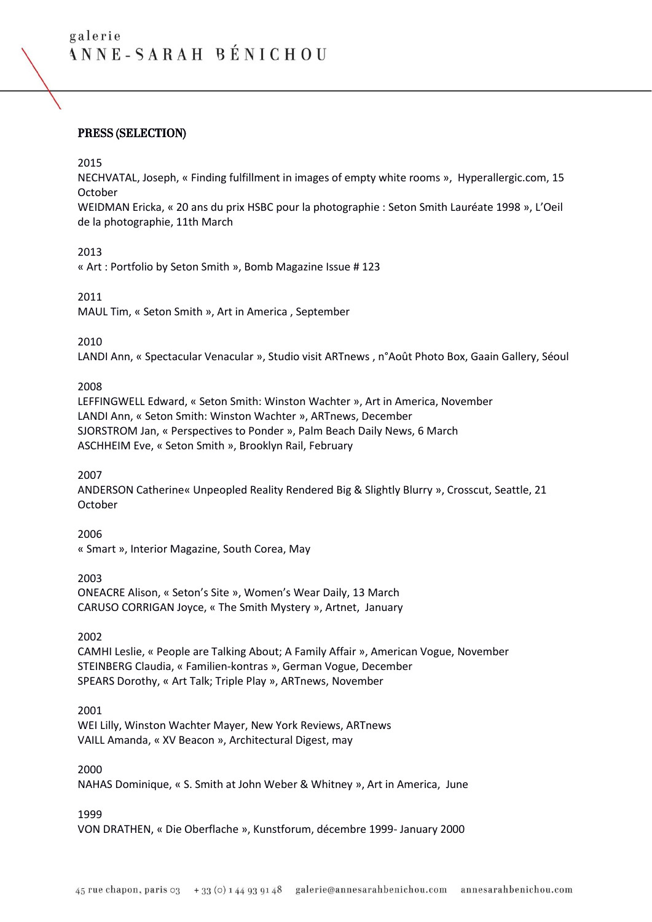## PRESS (SELECTION)

#### 2015

NECHVATAL, Joseph, « Finding fulfillment in images of empty white rooms », Hyperallergic.com, 15 October

WEIDMAN Ericka, « 20 ans du prix HSBC pour la photographie : Seton Smith Lauréate 1998 », L'Oeil de la photographie, 11th March

### 2013

« Art : Portfolio by Seton Smith », Bomb Magazine Issue # 123

#### 2011

MAUL Tim, « Seton Smith », Art in America , September

#### 2010

LANDI Ann, « Spectacular Venacular », Studio visit ARTnews , n°Août Photo Box, Gaain Gallery, Séoul

#### 2008

LEFFINGWELL Edward, « Seton Smith: Winston Wachter », Art in America, November LANDI Ann, « Seton Smith: Winston Wachter », ARTnews, December SJORSTROM Jan, « Perspectives to Ponder », Palm Beach Daily News, 6 March ASCHHEIM Eve, « Seton Smith », Brooklyn Rail, February

### 2007

ANDERSON Catherine« Unpeopled Reality Rendered Big & Slightly Blurry », Crosscut, Seattle, 21 October

2006 « Smart », Interior Magazine, South Corea, May

### 2003 ONEACRE Alison, « Seton's Site », Women's Wear Daily, 13 March CARUSO CORRIGAN Joyce, « The Smith Mystery », Artnet, January

### 2002

CAMHI Leslie, « People are Talking About; A Family Affair », American Vogue, November STEINBERG Claudia, « Familien-kontras », German Vogue, December SPEARS Dorothy, « Art Talk; Triple Play », ARTnews, November

### 2001

WEI Lilly, Winston Wachter Mayer, New York Reviews, ARTnews VAILL Amanda, « XV Beacon », Architectural Digest, may

### 2000

NAHAS Dominique, « S. Smith at John Weber & Whitney », Art in America, June

### 1999

VON DRATHEN, « Die Oberflache », Kunstforum, décembre 1999- January 2000